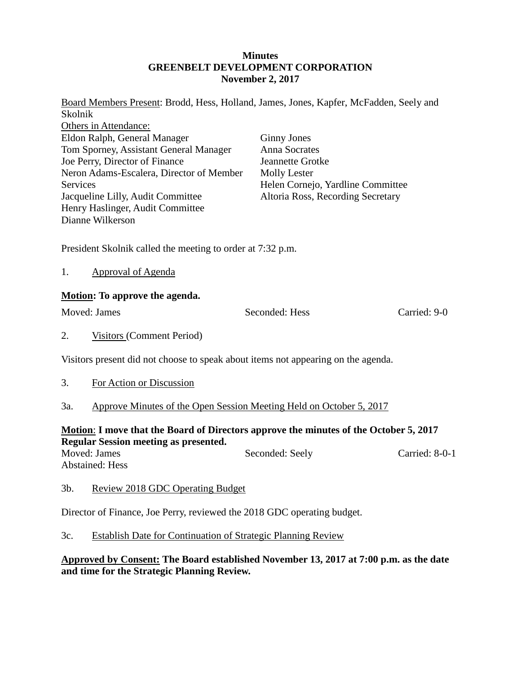## **Minutes GREENBELT DEVELOPMENT CORPORATION November 2, 2017**

Board Members Present: Brodd, Hess, Holland, James, Jones, Kapfer, McFadden, Seely and Skolnik Others in Attendance: Eldon Ralph, General Manager Tom Sporney, Assistant General Manager Joe Perry, Director of Finance Neron Adams-Escalera, Director of Member **Services** Jacqueline Lilly, Audit Committee Henry Haslinger, Audit Committee Dianne Wilkerson Ginny Jones Anna Socrates Jeannette Grotke Molly Lester Helen Cornejo, Yardline Committee Altoria Ross, Recording Secretary

President Skolnik called the meeting to order at 7:32 p.m.

1. Approval of Agenda

## **Motion: To approve the agenda.**

Moved: James Seconded: Hess Carried: 9-0

2. Visitors (Comment Period)

Visitors present did not choose to speak about items not appearing on the agenda.

- 3. For Action or Discussion
- 3a. Approve Minutes of the Open Session Meeting Held on October 5, 2017

## **Motion**: **I move that the Board of Directors approve the minutes of the October 5, 2017 Regular Session meeting as presented.**

Moved: James Seconded: Seely Carried: 8-0-1 Abstained: Hess

## 3b. Review 2018 GDC Operating Budget

Director of Finance, Joe Perry, reviewed the 2018 GDC operating budget.

3c. Establish Date for Continuation of Strategic Planning Review

**Approved by Consent: The Board established November 13, 2017 at 7:00 p.m. as the date and time for the Strategic Planning Review.**